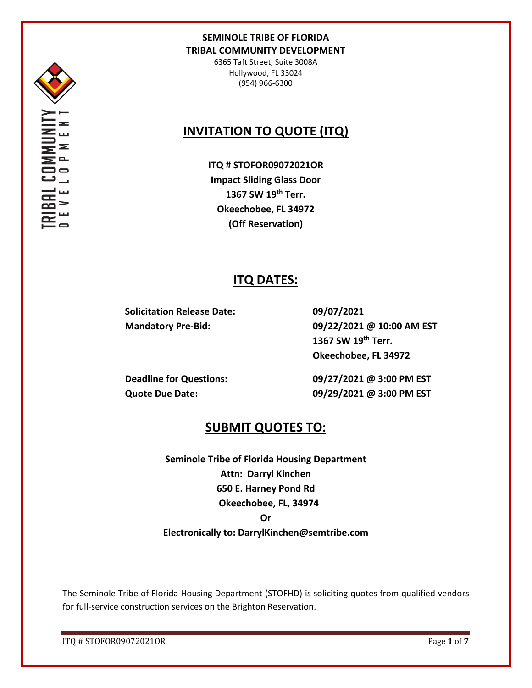

6365 Taft Street, Suite 3008A Hollywood, FL 33024 (954) 966-6300

# **INVITATION TO QUOTE (ITQ)**

**ITQ # STOFOR09072021OR Impact Sliding Glass Door 1367 SW 19th Terr. Okeechobee, FL 34972 (Off Reservation)**

## **ITQ DATES:**

**Solicitation Release Date: 09/07/2021**

**Mandatory Pre-Bid: 09/22/2021 @ 10:00 AM EST 1367 SW 19th Terr. Okeechobee, FL 34972**

**Deadline for Questions: 09/27/2021 @ 3:00 PM EST Quote Due Date: 09/29/2021 @ 3:00 PM EST**

## **SUBMIT QUOTES TO:**

**Seminole Tribe of Florida Housing Department Attn: Darryl Kinchen 650 E. Harney Pond Rd Okeechobee, FL, 34974 Or Electronically to: DarrylKinchen@semtribe.com** 

The Seminole Tribe of Florida Housing Department (STOFHD) is soliciting quotes from qualified vendors for full-service construction services on the Brighton Reservation.

ITQ # STOFOR09072021OR Page **1** of **7**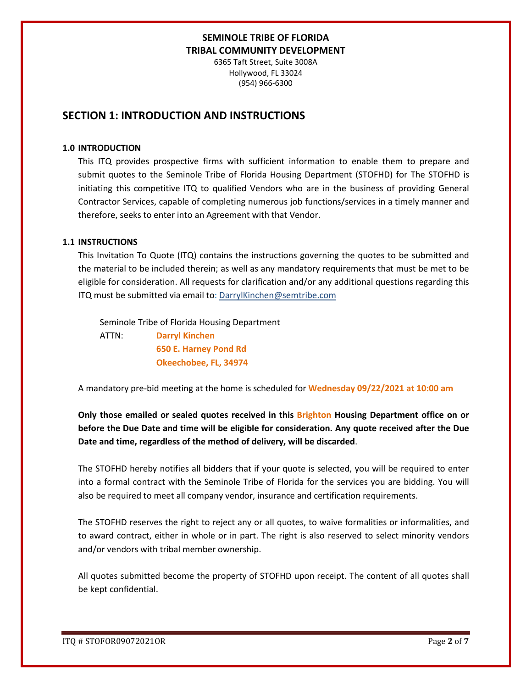6365 Taft Street, Suite 3008A Hollywood, FL 33024 (954) 966-6300

## **SECTION 1: INTRODUCTION AND INSTRUCTIONS**

### **1.0 INTRODUCTION**

This ITQ provides prospective firms with sufficient information to enable them to prepare and submit quotes to the Seminole Tribe of Florida Housing Department (STOFHD) for The STOFHD is initiating this competitive ITQ to qualified Vendors who are in the business of providing General Contractor Services, capable of completing numerous job functions/services in a timely manner and therefore, seeks to enter into an Agreement with that Vendor.

### **1.1 INSTRUCTIONS**

This Invitation To Quote (ITQ) contains the instructions governing the quotes to be submitted and the material to be included therein; as well as any mandatory requirements that must be met to be eligible for consideration. All requests for clarification and/or any additional questions regarding this ITQ must be submitted via email to: DarrylKinchen@semtribe.com

 Seminole Tribe of Florida Housing Department ATTN: **Darryl Kinchen**

 **650 E. Harney Pond Rd Okeechobee, FL, 34974**

A mandatory pre-bid meeting at the home is scheduled for **Wednesday 09/22/2021 at 10:00 am**

**Only those emailed or sealed quotes received in this Brighton Housing Department office on or before the Due Date and time will be eligible for consideration. Any quote received after the Due Date and time, regardless of the method of delivery, will be discarded**.

The STOFHD hereby notifies all bidders that if your quote is selected, you will be required to enter into a formal contract with the Seminole Tribe of Florida for the services you are bidding. You will also be required to meet all company vendor, insurance and certification requirements.

The STOFHD reserves the right to reject any or all quotes, to waive formalities or informalities, and to award contract, either in whole or in part. The right is also reserved to select minority vendors and/or vendors with tribal member ownership.

All quotes submitted become the property of STOFHD upon receipt. The content of all quotes shall be kept confidential.

ITQ # STOFOR09072021OR Page **2** of **7**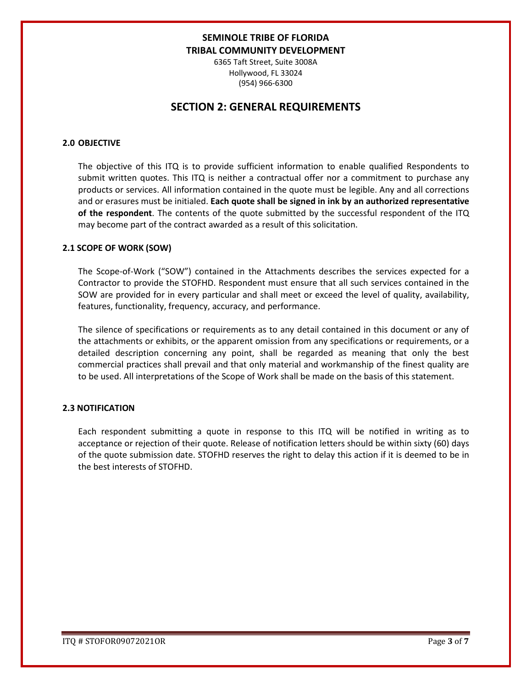6365 Taft Street, Suite 3008A Hollywood, FL 33024 (954) 966-6300

## **SECTION 2: GENERAL REQUIREMENTS**

### **2.0 OBJECTIVE**

The objective of this ITQ is to provide sufficient information to enable qualified Respondents to submit written quotes. This ITQ is neither a contractual offer nor a commitment to purchase any products or services. All information contained in the quote must be legible. Any and all corrections and or erasures must be initialed. **Each quote shall be signed in ink by an authorized representative of the respondent**. The contents of the quote submitted by the successful respondent of the ITQ may become part of the contract awarded as a result of this solicitation.

#### **2.1 SCOPE OF WORK (SOW)**

The Scope-of-Work ("SOW") contained in the Attachments describes the services expected for a Contractor to provide the STOFHD. Respondent must ensure that all such services contained in the SOW are provided for in every particular and shall meet or exceed the level of quality, availability, features, functionality, frequency, accuracy, and performance.

The silence of specifications or requirements as to any detail contained in this document or any of the attachments or exhibits, or the apparent omission from any specifications or requirements, or a detailed description concerning any point, shall be regarded as meaning that only the best commercial practices shall prevail and that only material and workmanship of the finest quality are to be used. All interpretations of the Scope of Work shall be made on the basis of this statement.

#### **2.3 NOTIFICATION**

Each respondent submitting a quote in response to this ITQ will be notified in writing as to acceptance or rejection of their quote. Release of notification letters should be within sixty (60) days of the quote submission date. STOFHD reserves the right to delay this action if it is deemed to be in the best interests of STOFHD.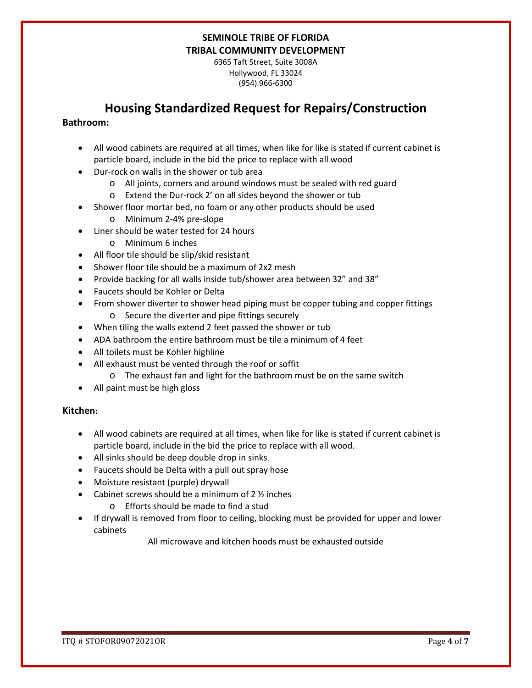6365 Taft Street, Suite 3008A Hollywood, FL 33024 (954) 966-6300

## **Housing Standardized Request for Repairs/Construction**

### **Bathroom:**

- All wood cabinets are required at all times, when like for like is stated if current cabinet is particle board, include in the bid the price to replace with all wood
- Dur-rock on walls in the shower or tub area
	- o All joints, corners and around windows must be sealed with red guard
	- o Extend the Dur-rock 2' on all sides beyond the shower or tub
- Shower floor mortar bed, no foam or any other products should be used
	- o Minimum 2-4% pre-slope
- Liner should be water tested for 24 hours
	- o Minimum 6 inches
- All floor tile should be slip/skid resistant
- Shower floor tile should be a maximum of 2x2 mesh
- Provide backing for all walls inside tub/shower area between 32" and 38"
- Faucets should be Kohler or Delta
- From shower diverter to shower head piping must be copper tubing and copper fittings o Secure the diverter and pipe fittings securely
- When tiling the walls extend 2 feet passed the shower or tub
- ADA bathroom the entire bathroom must be tile a minimum of 4 feet
- All toilets must be Kohler highline
- All exhaust must be vented through the roof or soffit
	- o The exhaust fan and light for the bathroom must be on the same switch
- All paint must be high gloss

### **Kitchen:**

- All wood cabinets are required at all times, when like for like is stated if current cabinet is particle board, include in the bid the price to replace with all wood.
- All sinks should be deep double drop in sinks
- Faucets should be Delta with a pull out spray hose
- Moisture resistant (purple) drywall
- Cabinet screws should be a minimum of  $2 \frac{1}{2}$  inches
	- o Efforts should be made to find a stud
- If drywall is removed from floor to ceiling, blocking must be provided for upper and lower cabinets

All microwave and kitchen hoods must be exhausted outside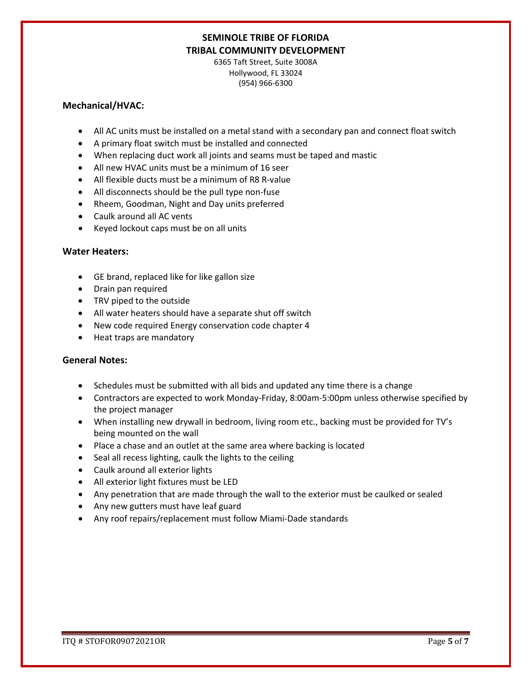6365 Taft Street, Suite 3008A Hollywood, FL 33024 (954) 966-6300

### **Mechanical/HVAC:**

- All AC units must be installed on a metal stand with a secondary pan and connect float switch
- A primary float switch must be installed and connected
- When replacing duct work all joints and seams must be taped and mastic
- All new HVAC units must be a minimum of 16 seer
- All flexible ducts must be a minimum of R8 R-value
- All disconnects should be the pull type non-fuse
- Rheem, Goodman, Night and Day units preferred
- Caulk around all AC vents
- Keyed lockout caps must be on all units

### **Water Heaters:**

- GE brand, replaced like for like gallon size
- Drain pan required
- TRV piped to the outside
- All water heaters should have a separate shut off switch
- New code required Energy conservation code chapter 4
- Heat traps are mandatory

### **General Notes:**

- Schedules must be submitted with all bids and updated any time there is a change
- Contractors are expected to work Monday-Friday, 8:00am-5:00pm unless otherwise specified by the project manager
- When installing new drywall in bedroom, living room etc., backing must be provided for TV's being mounted on the wall
- Place a chase and an outlet at the same area where backing is located
- Seal all recess lighting, caulk the lights to the ceiling
- Caulk around all exterior lights
- All exterior light fixtures must be LED
- Any penetration that are made through the wall to the exterior must be caulked or sealed
- Any new gutters must have leaf guard
- Any roof repairs/replacement must follow Miami-Dade standards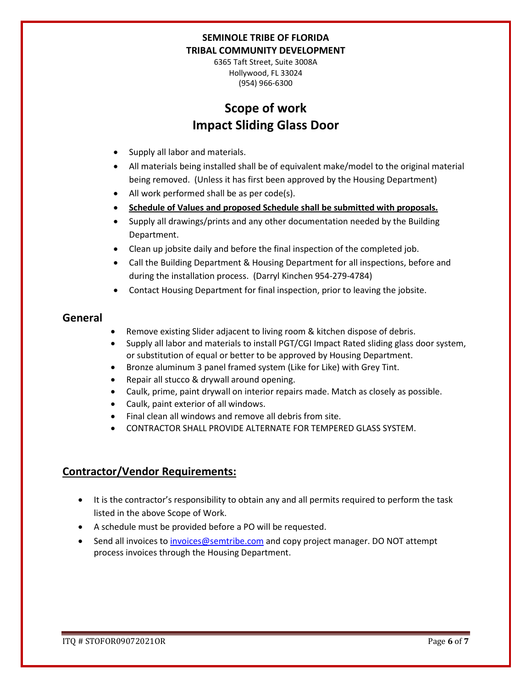6365 Taft Street, Suite 3008A Hollywood, FL 33024 (954) 966-6300

# **Scope of work Impact Sliding Glass Door**

- Supply all labor and materials.
- All materials being installed shall be of equivalent make/model to the original material being removed. (Unless it has first been approved by the Housing Department)
- All work performed shall be as per code(s).
- **Schedule of Values and proposed Schedule shall be submitted with proposals.**
- Supply all drawings/prints and any other documentation needed by the Building Department.
- Clean up jobsite daily and before the final inspection of the completed job.
- Call the Building Department & Housing Department for all inspections, before and during the installation process. (Darryl Kinchen 954-279-4784)
- Contact Housing Department for final inspection, prior to leaving the jobsite.

## **General**

- Remove existing Slider adjacent to living room & kitchen dispose of debris.
- Supply all labor and materials to install PGT/CGI Impact Rated sliding glass door system, or substitution of equal or better to be approved by Housing Department.
- Bronze aluminum 3 panel framed system (Like for Like) with Grey Tint.
- Repair all stucco & drywall around opening.
- Caulk, prime, paint drywall on interior repairs made. Match as closely as possible.
- Caulk, paint exterior of all windows.
- Final clean all windows and remove all debris from site.
- CONTRACTOR SHALL PROVIDE ALTERNATE FOR TEMPERED GLASS SYSTEM.

## **Contractor/Vendor Requirements:**

- It is the contractor's responsibility to obtain any and all permits required to perform the task listed in the above Scope of Work.
- A schedule must be provided before a PO will be requested.
- Send all invoices to [invoices@semtribe.com](mailto:invoices@semtribe.com) and copy project manager. DO NOT attempt process invoices through the Housing Department.